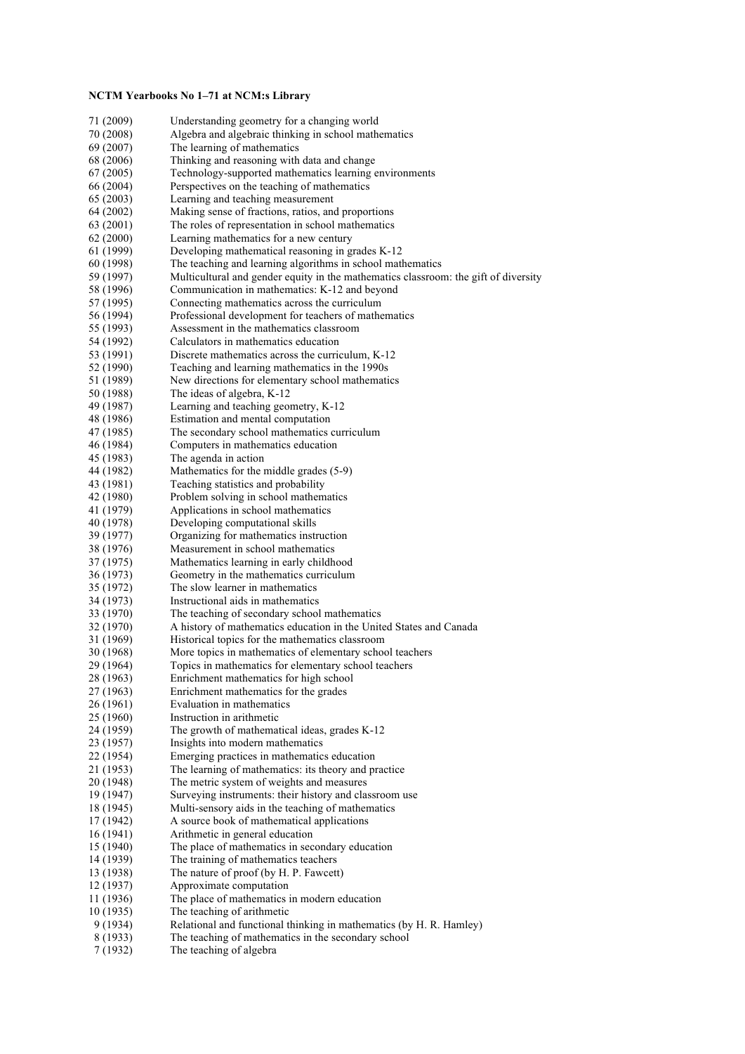## **NCTM Yearbooks No 1–71 at NCM:s Library**

| 71 (2009)              | Understanding geometry for a changing world                                         |
|------------------------|-------------------------------------------------------------------------------------|
| 70 (2008)              | Algebra and algebraic thinking in school mathematics                                |
| 69 (2007)              | The learning of mathematics                                                         |
| 68 (2006)              | Thinking and reasoning with data and change                                         |
| 67 (2005)              | Technology-supported mathematics learning environments                              |
| 66 (2004)              | Perspectives on the teaching of mathematics                                         |
| 65 (2003)              | Learning and teaching measurement                                                   |
| 64 (2002)              | Making sense of fractions, ratios, and proportions                                  |
| 63 (2001)              | The roles of representation in school mathematics                                   |
| 62 (2000)              | Learning mathematics for a new century                                              |
| 61 (1999)              | Developing mathematical reasoning in grades K-12                                    |
| 60 (1998)              | The teaching and learning algorithms in school mathematics                          |
| 59 (1997)              | Multicultural and gender equity in the mathematics classroom: the gift of diversity |
| 58 (1996)              | Communication in mathematics: K-12 and beyond                                       |
| 57 (1995)              | Connecting mathematics across the curriculum                                        |
| 56 (1994)              | Professional development for teachers of mathematics                                |
| 55 (1993)              | Assessment in the mathematics classroom                                             |
| 54 (1992)              | Calculators in mathematics education                                                |
| 53 (1991)              | Discrete mathematics across the curriculum, K-12                                    |
| 52 (1990)              | Teaching and learning mathematics in the 1990s                                      |
| 51 (1989)              | New directions for elementary school mathematics                                    |
| 50 (1988)              | The ideas of algebra, K-12                                                          |
| 49 (1987)              | Learning and teaching geometry, K-12                                                |
| 48 (1986)              | Estimation and mental computation                                                   |
| 47 (1985)              | The secondary school mathematics curriculum                                         |
| 46 (1984)              | Computers in mathematics education<br>The agenda in action                          |
| 45 (1983)              |                                                                                     |
| 44 (1982)              | Mathematics for the middle grades (5-9)                                             |
| 43 (1981)<br>42 (1980) | Teaching statistics and probability<br>Problem solving in school mathematics        |
| 41 (1979)              | Applications in school mathematics                                                  |
| 40 (1978)              | Developing computational skills                                                     |
| 39 (1977)              | Organizing for mathematics instruction                                              |
| 38 (1976)              | Measurement in school mathematics                                                   |
| 37 (1975)              | Mathematics learning in early childhood                                             |
| 36 (1973)              | Geometry in the mathematics curriculum                                              |
| 35 (1972)              | The slow learner in mathematics                                                     |
| 34 (1973)              | Instructional aids in mathematics                                                   |
| 33 (1970)              | The teaching of secondary school mathematics                                        |
| 32 (1970)              | A history of mathematics education in the United States and Canada                  |
| 31 (1969)              | Historical topics for the mathematics classroom                                     |
| 30 (1968)              | More topics in mathematics of elementary school teachers                            |
| 29 (1964)              | Topics in mathematics for elementary school teachers                                |
| 28 (1963)              | Enrichment mathematics for high school                                              |
| 27 (1963)              | Enrichment mathematics for the grades                                               |
| 26 (1961)              | Evaluation in mathematics                                                           |
| 25 (1960)              | Instruction in arithmetic                                                           |
| 24 (1959)              | The growth of mathematical ideas, grades K-12                                       |
| 23 (1957)              | Insights into modern mathematics                                                    |
| 22 (1954)              | Emerging practices in mathematics education                                         |
| 21 (1953)              | The learning of mathematics: its theory and practice                                |
| 20 (1948)              | The metric system of weights and measures                                           |
| 19 (1947)              | Surveying instruments: their history and classroom use                              |
| 18 (1945)              | Multi-sensory aids in the teaching of mathematics                                   |
| 17 (1942)              | A source book of mathematical applications                                          |
| 16 (1941)              | Arithmetic in general education                                                     |
| 15 (1940)              | The place of mathematics in secondary education                                     |
| 14 (1939)              | The training of mathematics teachers                                                |
| 13 (1938)              | The nature of proof (by H. P. Fawcett)                                              |
| 12 (1937)              | Approximate computation                                                             |
| 11 (1936)              | The place of mathematics in modern education                                        |
| 10 (1935)              | The teaching of arithmetic                                                          |
| 9 (1934)               | Relational and functional thinking in mathematics (by H. R. Hamley)                 |
| 8 (1933)               | The teaching of mathematics in the secondary school                                 |
| 7 (1932)               | The teaching of algebra                                                             |